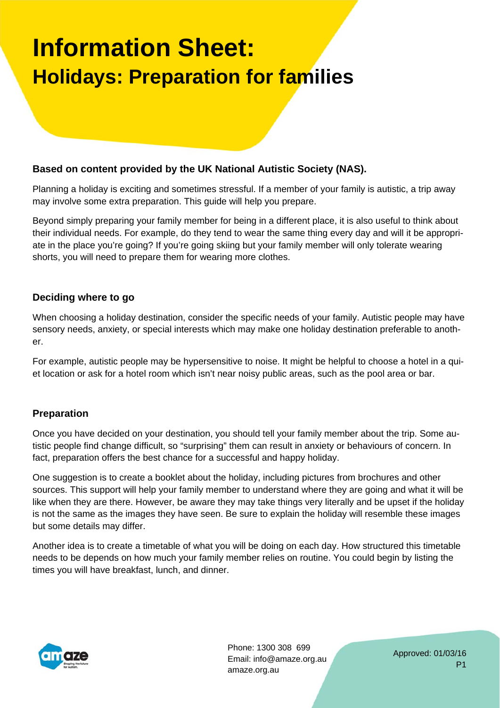# **Information Sheet: Holidays: Preparation for families**

### **Based on content provided by the UK National Autistic Society (NAS).**

Planning a holiday is exciting and sometimes stressful. If a member of your family is autistic, a trip away may involve some extra preparation. This guide will help you prepare.

Beyond simply preparing your family member for being in a different place, it is also useful to think about their individual needs. For example, do they tend to wear the same thing every day and will it be appropriate in the place you're going? If you're going skiing but your family member will only tolerate wearing shorts, you will need to prepare them for wearing more clothes.

#### **Deciding where to go**

When choosing a holiday destination, consider the specific needs of your family. Autistic people may have sensory needs, anxiety, or special interests which may make one holiday destination preferable to another.

For example, autistic people may be hypersensitive to noise. It might be helpful to choose a hotel in a quiet location or ask for a hotel room which isn't near noisy public areas, such as the pool area or bar.

## **Preparation**

Once you have decided on your destination, you should tell your family member about the trip. Some autistic people find change difficult, so "surprising" them can result in anxiety or behaviours of concern. In fact, preparation offers the best chance for a successful and happy holiday.

One suggestion is to create a booklet about the holiday, including pictures from brochures and other sources. This support will help your family member to understand where they are going and what it will be like when they are there. However, be aware they may take things very literally and be upset if the holiday is not the same as the images they have seen. Be sure to explain the holiday will resemble these images but some details may differ.

Another idea is to create a timetable of what you will be doing on each day. How structured this timetable needs to be depends on how much your family member relies on routine. You could begin by listing the times you will have breakfast, lunch, and dinner.



Phone: 1300 308 699 Email: info@amaze.org.au amaze.org.au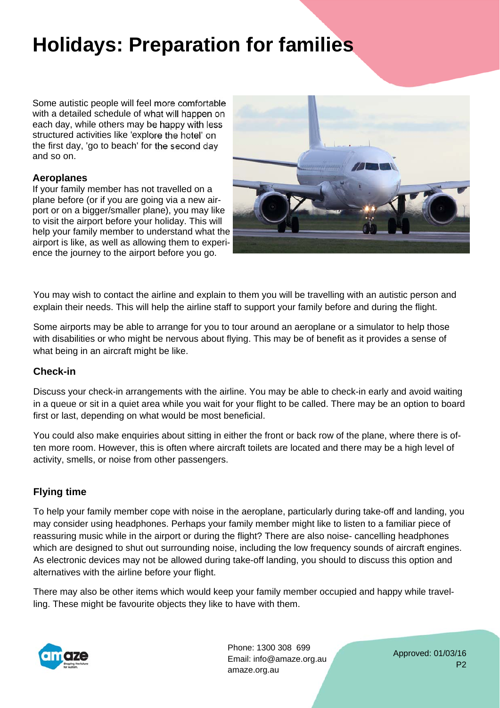# **Holidays: Preparation for families**

Some autistic people will feel more comfortable with a detailed schedule of what will happen on each day, while others may be happy with less structured activities like 'explore the hotel' on the first day, 'go to beach' for the second day and so on.

#### **Aeroplanes**

If your family member has not travelled on a plane before (or if you are going via a new airport or on a bigger/smaller plane), you may like to visit the airport before your holiday. This will help your family member to understand what the airport is like, as well as allowing them to experience the journey to the airport before you go.



You may wish to contact the airline and explain to them you will be travelling with an autistic person and explain their needs. This will help the airline staff to support your family before and during the flight.

Some airports may be able to arrange for you to tour around an aeroplane or a simulator to help those with disabilities or who might be nervous about flying. This may be of benefit as it provides a sense of what being in an aircraft might be like.

## **Check-in**

Discuss your check-in arrangements with the airline. You may be able to check-in early and avoid waiting in a queue or sit in a quiet area while you wait for your flight to be called. There may be an option to board first or last, depending on what would be most beneficial.

You could also make enquiries about sitting in either the front or back row of the plane, where there is often more room. However, this is often where aircraft toilets are located and there may be a high level of activity, smells, or noise from other passengers.

# **Flying time**

To help your family member cope with noise in the aeroplane, particularly during take-off and landing, you may consider using headphones. Perhaps your family member might like to listen to a familiar piece of reassuring music while in the airport or during the flight? There are also noise- cancelling headphones which are designed to shut out surrounding noise, including the low frequency sounds of aircraft engines. As electronic devices may not be allowed during take-off landing, you should to discuss this option and alternatives with the airline before your flight.

There may also be other items which would keep your family member occupied and happy while travelling. These might be favourite objects they like to have with them.



Phone: 1300 308 699 Email: info@amaze.org.au amaze.org.au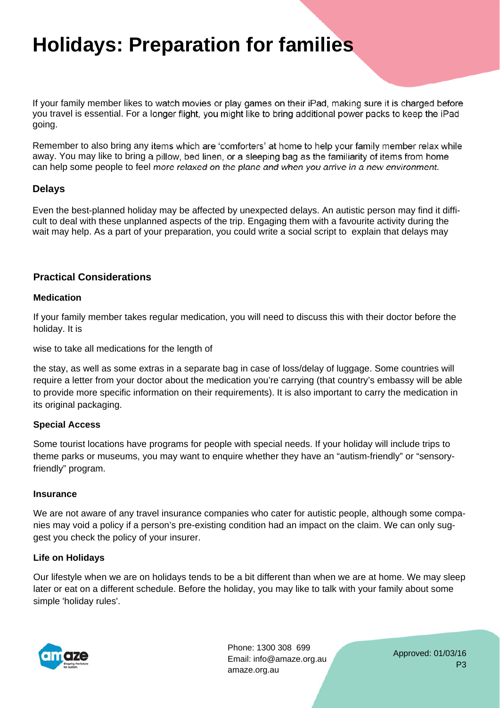# **Holidays: Preparation for families**

If your family member likes to watch movies or play games on their iPad, making sure it is charged before you travel is essential. For a longer flight, you might like to bring additional power packs to keep the iPad going.

Remember to also bring any items which are 'comforters' at home to help your family member relax while away. You may like to bring a pillow, bed linen, or a sleeping bag as the familiarity of items from home can help some people to feel more relaxed on the plane and when you arrive in a new environment.

## **Delays**

Even the best-planned holiday may be affected by unexpected delays. An autistic person may find it difficult to deal with these unplanned aspects of the trip. Engaging them with a favourite activity during the wait may help. As a part of your preparation, you could write a social script to explain that delays may

# **Practical Considerations**

#### **Medication**

If your family member takes regular medication, you will need to discuss this with their doctor before the holiday. It is

wise to take all medications for the length of

the stay, as well as some extras in a separate bag in case of loss/delay of luggage. Some countries will require a letter from your doctor about the medication you're carrying (that country's embassy will be able to provide more specific information on their requirements). It is also important to carry the medication in its original packaging.

#### **Special Access**

Some tourist locations have programs for people with special needs. If your holiday will include trips to theme parks or museums, you may want to enquire whether they have an "autism-friendly" or "sensoryfriendly" program.

#### **Insurance**

We are not aware of any travel insurance companies who cater for autistic people, although some companies may void a policy if a person's pre-existing condition had an impact on the claim. We can only suggest you check the policy of your insurer.

#### **Life on Holidays**

Our lifestyle when we are on holidays tends to be a bit different than when we are at home. We may sleep later or eat on a different schedule. Before the holiday, you may like to talk with your family about some simple 'holiday rules'.



Phone: 1300 308 699 Email: info@amaze.org.au amaze.org.au